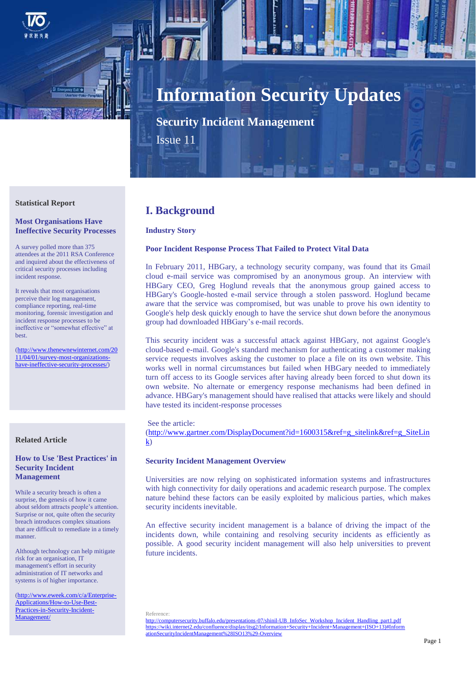

# **Information Security Updates**

**Security Incident Management**

Issue 11

#### **Statistical Report**

#### **Most Organisations Have Ineffective Security Processes**

A survey polled more than 375 attendees at the 2011 RSA Conference and inquired about the effectiveness of critical security processes including incident response.

It reveals that most organisations perceive their log management, compliance reporting, real-time monitoring, forensic investigation and incident response processes to be ineffective or "somewhat effective" at **best** 

[\(http://www.thenewnewinternet.com/20](http://www.thenewnewinternet.com/2011/04/01/survey-most-organizations-have-ineffective-security-processes/) [11/04/01/survey-most-organizations](http://www.thenewnewinternet.com/2011/04/01/survey-most-organizations-have-ineffective-security-processes/)[have-ineffective-security-processes/\)](http://www.thenewnewinternet.com/2011/04/01/survey-most-organizations-have-ineffective-security-processes/)

## **Related Article**

## **How to Use 'Best Practices' in Security Incident Management**

While a security breach is often a surprise, the genesis of how it came about seldom attracts people's attention. Surprise or not, quite often the security breach introduces complex situations that are difficult to remediate in a timely manner.

Although technology can help mitigate risk for an organisation, IT management's effort in security administration of IT networks and systems is of higher importance.

[\(http://www.eweek.com/c/a/Enterprise-](http://www.eweek.com/c/a/Enterprise-Applications/How-to-Use-Best-Practices-in-Security-Incident-Management/)[Applications/How-to-Use-Best-](http://www.eweek.com/c/a/Enterprise-Applications/How-to-Use-Best-Practices-in-Security-Incident-Management/)[Practices-in-Security-Incident-](http://www.eweek.com/c/a/Enterprise-Applications/How-to-Use-Best-Practices-in-Security-Incident-Management/)[Management/](http://www.eweek.com/c/a/Enterprise-Applications/How-to-Use-Best-Practices-in-Security-Incident-Management/)

# **I. Background**

#### **Industry Story**

#### **Poor Incident Response Process That Failed to Protect Vital Data**

In February 2011, HBGary, a technology security company, was found that its Gmail cloud e-mail service was compromised by an anonymous group. An interview with HBGary CEO, Greg Hoglund reveals that the anonymous group gained access to HBGary's Google-hosted e-mail service through a stolen password. Hoglund became aware that the service was compromised, but was unable to prove his own identity to Google's help desk quickly enough to have the service shut down before the anonymous group had downloaded HBGary's e-mail records.

This security incident was a successful attack against HBGary, not against Google's cloud-based e-mail. Google's standard mechanism for authenticating a customer making service requests involves asking the customer to place a file on its own website. This works well in normal circumstances but failed when HBGary needed to immediately turn off access to its Google services after having already been forced to shut down its own website. No alternate or emergency response mechanisms had been defined in advance. HBGary's management should have realised that attacks were likely and should have tested its incident-response processes

See the article:

[\(http://www.gartner.com/DisplayDocument?id=1600315&ref=g\\_sitelink&ref=g\\_SiteLin](http://www.gartner.com/DisplayDocument?id=1600315&ref=g_sitelink&ref=g_SiteLink)  $\underline{k}$ 

#### **Security Incident Management Overview**

Universities are now relying on sophisticated information systems and infrastructures with high connectivity for daily operations and academic research purpose. The complex nature behind these factors can be easily exploited by malicious parties, which makes security incidents inevitable.

An effective security incident management is a balance of driving the impact of the incidents down, while containing and resolving security incidents as efficiently as possible. A good security incident management will also help universities to prevent future incidents.

Reference: [http://computersecurity.buffalo.edu/presentations-07/shinil-UB\\_InfoSec\\_Workshop\\_Incident\\_Handling\\_part1.pdf](http://computersecurity.buffalo.edu/presentations-07/shinil-UB_InfoSec_Workshop_Incident_Handling_part1.pdf) [https://wiki.internet2.edu/confluence/display/itsg2/Information+Security+Incident+Management+\(ISO+13\)#Inform](https://wiki.internet2.edu/confluence/display/itsg2/Information+Security+Incident+Management+(ISO+13)%23InformationSecurityIncidentManagement%28ISO13%29-Overview) [ationSecurityIncidentManagement%28ISO13%29-Overview](https://wiki.internet2.edu/confluence/display/itsg2/Information+Security+Incident+Management+(ISO+13)%23InformationSecurityIncidentManagement%28ISO13%29-Overview)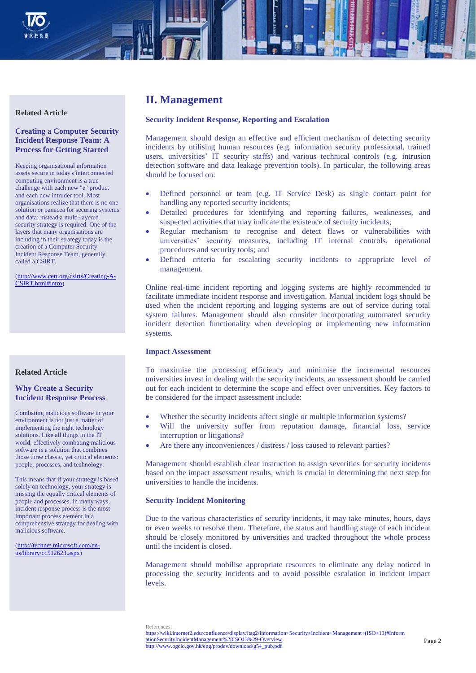

#### **Related Article**

# **Creating a Computer Security Incident Response Team: A Process for Getting Started**

Keeping organisational information assets secure in today's interconnected computing environment is a true challenge with each new "e" product and each new intruder tool. Most organisations realize that there is no one solution or panacea for securing systems and data; instead a multi-layered security strategy is required. One of the layers that many organisations are including in their strategy today is the creation of a Computer Security Incident Response Team, generally called a CSIRT.

[\(http://www.cert.org/csirts/Creating-A-](http://www.cert.org/csirts/Creating-A-CSIRT.html%23intro)[CSIRT.html#intro\)](http://www.cert.org/csirts/Creating-A-CSIRT.html%23intro)

## **Related Article**

#### **Why Create a Security Incident Response Process**

Combating malicious software in your environment is not just a matter of implementing the right technology solutions. Like all things in the IT world, effectively combating malicious software is a solution that combines those three classic, yet critical elements: people, processes, and technology.

This means that if your strategy is based solely on technology, your strategy is missing the equally critical elements of people and processes. In many ways, incident response process is the most important process element in a comprehensive strategy for dealing with malicious software.

[\(http://technet.microsoft.com/en](http://technet.microsoft.com/en-us/library/cc512623.aspx)[us/library/cc512623.aspx\)](http://technet.microsoft.com/en-us/library/cc512623.aspx)

# **II. Management**

#### **Security Incident Response, Reporting and Escalation**

Management should design an effective and efficient mechanism of detecting security incidents by utilising human resources (e.g. information security professional, trained users, universities' IT security staffs) and various technical controls (e.g. intrusion detection software and data leakage prevention tools). In particular, the following areas should be focused on:

- Defined personnel or team (e.g. IT Service Desk) as single contact point for handling any reported security incidents;
- Detailed procedures for identifying and reporting failures, weaknesses, and suspected activities that may indicate the existence of security incidents;
- Regular mechanism to recognise and detect flaws or vulnerabilities with universities' security measures, including IT internal controls, operational procedures and security tools; and
- Defined criteria for escalating security incidents to appropriate level of management.

Online real-time incident reporting and logging systems are highly recommended to facilitate immediate incident response and investigation. Manual incident logs should be used when the incident reporting and logging systems are out of service during total system failures. Management should also consider incorporating automated security incident detection functionality when developing or implementing new information systems.

#### **Impact Assessment**

To maximise the processing efficiency and minimise the incremental resources universities invest in dealing with the security incidents, an assessment should be carried out for each incident to determine the scope and effect over universities. Key factors to be considered for the impact assessment include:

- Whether the security incidents affect single or multiple information systems?
- Will the university suffer from reputation damage, financial loss, service interruption or litigations?
- Are there any inconveniences / distress / loss caused to relevant parties?

Management should establish clear instruction to assign severities for security incidents based on the impact assessment results, which is crucial in determining the next step for universities to handle the incidents.

#### **Security Incident Monitoring**

Due to the various characteristics of security incidents, it may take minutes, hours, days or even weeks to resolve them. Therefore, the status and handling stage of each incident should be closely monitored by universities and tracked throughout the whole process until the incident is closed.

Management should mobilise appropriate resources to eliminate any delay noticed in processing the security incidents and to avoid possible escalation in incident impact levels.

References: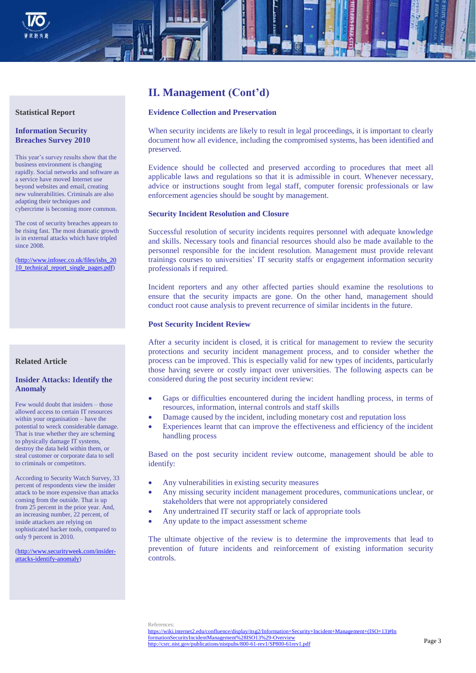



#### **Statistical Report**

#### **Information Security Breaches Survey 2010**

This year's survey results show that the business environment is changing rapidly. Social networks and software as a service have moved Internet use beyond websites and email, creating new vulnerabilities. Criminals are also adapting their techniques and cybercrime is becoming more common.

The cost of security breaches appears to be rising fast. The most dramatic growth is in external attacks which have tripled since 2008.

[\(http://www.infosec.co.uk/files/isbs\\_20](http://www.infosec.co.uk/files/isbs_2010_technical_report_single_pages.pdf) [10\\_technical\\_report\\_single\\_pages.pdf\)](http://www.infosec.co.uk/files/isbs_2010_technical_report_single_pages.pdf)

#### **Related Article**

## **Insider Attacks: Identify the Anomaly**

Few would doubt that insiders – those allowed access to certain IT resources within your organisation – have the potential to wreck considerable damage. That is true whether they are scheming to physically damage IT systems, destroy the data held within them, or steal customer or corporate data to sell to criminals or competitors.

According to Security Watch Survey, 33 percent of respondents view the insider attack to be more expensive than attacks coming from the outside. That is up from 25 percent in the prior year. And, an increasing number, 22 percent, of inside attackers are relying on sophisticated hacker tools, compared to only 9 percent in 2010.

[\(http://www.securityweek.com/insider](http://www.securityweek.com/insider-attacks-identify-anomaly)[attacks-identify-anomaly\)](http://www.securityweek.com/insider-attacks-identify-anomaly)

# **II. Management (Cont'd)**

#### **Evidence Collection and Preservation**

When security incidents are likely to result in legal proceedings, it is important to clearly document how all evidence, including the compromised systems, has been identified and preserved.

Evidence should be collected and preserved according to procedures that meet all applicable laws and regulations so that it is admissible in court. Whenever necessary, advice or instructions sought from legal staff, computer forensic professionals or law enforcement agencies should be sought by management.

#### **Security Incident Resolution and Closure**

Successful resolution of security incidents requires personnel with adequate knowledge and skills. Necessary tools and financial resources should also be made available to the personnel responsible for the incident resolution. Management must provide relevant trainings courses to universities' IT security staffs or engagement information security professionals if required.

Incident reporters and any other affected parties should examine the resolutions to ensure that the security impacts are gone. On the other hand, management should conduct root cause analysis to prevent recurrence of similar incidents in the future.

#### **Post Security Incident Review**

After a security incident is closed, it is critical for management to review the security protections and security incident management process, and to consider whether the process can be improved. This is especially valid for new types of incidents, particularly those having severe or costly impact over universities. The following aspects can be considered during the post security incident review:

- Gaps or difficulties encountered during the incident handling process, in terms of resources, information, internal controls and staff skills
- Damage caused by the incident, including monetary cost and reputation loss
- Experiences learnt that can improve the effectiveness and efficiency of the incident handling process

Based on the post security incident review outcome, management should be able to identify:

- Any vulnerabilities in existing security measures
- Any missing security incident management procedures, communications unclear, or stakeholders that were not appropriately considered
- Any undertrained IT security staff or lack of appropriate tools
- Any update to the impact assessment scheme

The ultimate objective of the review is to determine the improvements that lead to prevention of future incidents and reinforcement of existing information security controls.